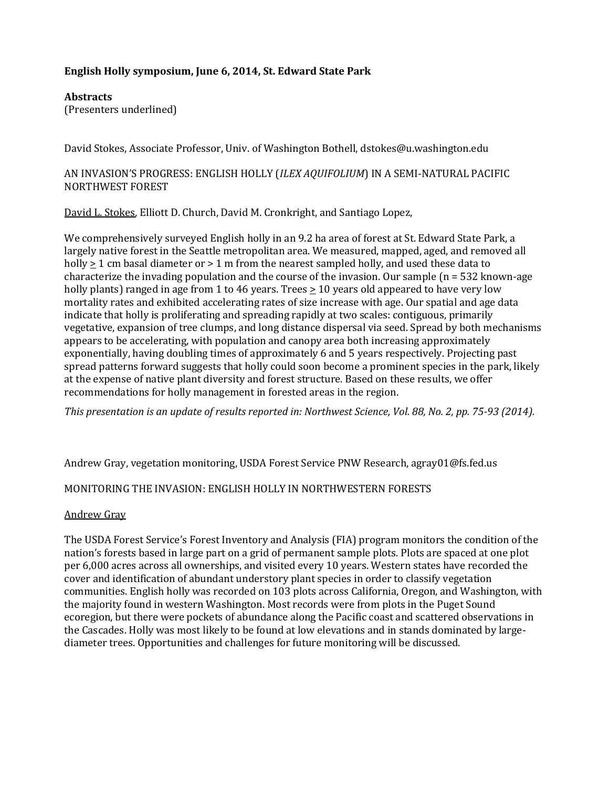# **English Holly symposium, June 6, 2014, St. Edward State Park**

**Abstracts**

(Presenters underlined)

David Stokes, Associate Professor, Univ. of Washington Bothell, dstokes@u.washington.edu

AN INVASION'S PROGRESS: ENGLISH HOLLY (*ILEX AQUIFOLIUM*) IN A SEMI-NATURAL PACIFIC NORTHWEST FOREST

David L. Stokes, Elliott D. Church, David M. Cronkright, and Santiago Lopez,

We comprehensively surveyed English holly in an 9.2 ha area of forest at St. Edward State Park, a largely native forest in the Seattle metropolitan area. We measured, mapped, aged, and removed all holly  $> 1$  cm basal diameter or  $> 1$  m from the nearest sampled holly, and used these data to characterize the invading population and the course of the invasion. Our sample  $(n = 532 \text{ known-age})$ holly plants) ranged in age from 1 to 46 years. Trees  $\geq 10$  years old appeared to have very low mortality rates and exhibited accelerating rates of size increase with age. Our spatial and age data indicate that holly is proliferating and spreading rapidly at two scales: contiguous, primarily vegetative, expansion of tree clumps, and long distance dispersal via seed. Spread by both mechanisms appears to be accelerating, with population and canopy area both increasing approximately exponentially, having doubling times of approximately 6 and 5 years respectively. Projecting past spread patterns forward suggests that holly could soon become a prominent species in the park, likely at the expense of native plant diversity and forest structure. Based on these results, we offer recommendations for holly management in forested areas in the region.

*This presentation is an update of results reported in: Northwest Science, Vol. 88, No. 2, pp. 75-93 (2014).*

Andrew Gray, vegetation monitoring, USDA Forest Service PNW Research, agray01@fs.fed.us

## MONITORING THE INVASION: ENGLISH HOLLY IN NORTHWESTERN FORESTS

#### Andrew Gray

The USDA Forest Service's Forest Inventory and Analysis (FIA) program monitors the condition of the nation's forests based in large part on a grid of permanent sample plots. Plots are spaced at one plot per 6,000 acres across all ownerships, and visited every 10 years. Western states have recorded the cover and identification of abundant understory plant species in order to classify vegetation communities. English holly was recorded on 103 plots across California, Oregon, and Washington, with the majority found in western Washington. Most records were from plots in the Puget Sound ecoregion, but there were pockets of abundance along the Pacific coast and scattered observations in the Cascades. Holly was most likely to be found at low elevations and in stands dominated by largediameter trees. Opportunities and challenges for future monitoring will be discussed.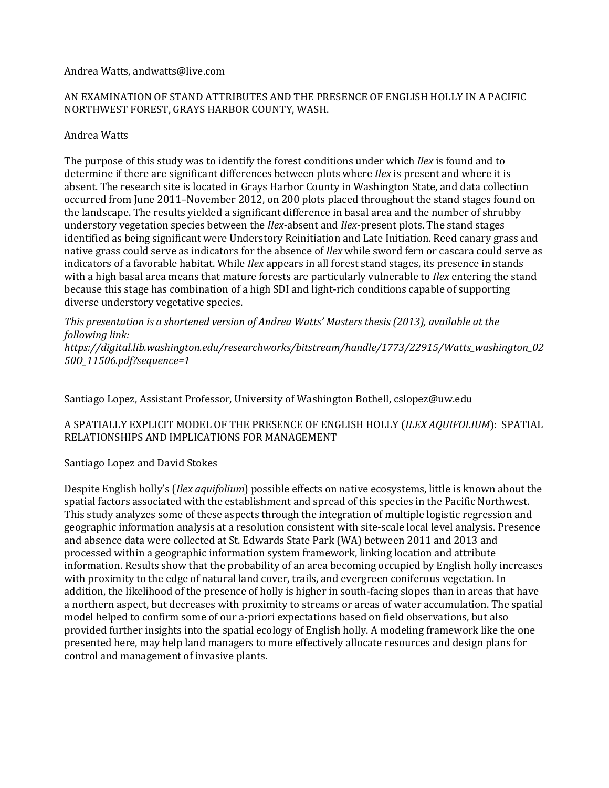Andrea Watts, [andwatts@live.com](mailto:andwatts@live.com)

### AN EXAMINATION OF STAND ATTRIBUTES AND THE PRESENCE OF ENGLISH HOLLY IN A PACIFIC NORTHWEST FOREST, GRAYS HARBOR COUNTY, WASH.

## Andrea Watts

The purpose of this study was to identify the forest conditions under which *Ilex* is found and to determine if there are significant differences between plots where *Ilex* is present and where it is absent. The research site is located in Grays Harbor County in Washington State, and data collection occurred from June 2011–November 2012, on 200 plots placed throughout the stand stages found on the landscape. The results yielded a significant difference in basal area and the number of shrubby understory vegetation species between the *Ilex-*absent and *Ilex*-present plots. The stand stages identified as being significant were Understory Reinitiation and Late Initiation. Reed canary grass and native grass could serve as indicators for the absence of *Ilex* while sword fern or cascara could serve as indicators of a favorable habitat. While *Ilex* appears in all forest stand stages, its presence in stands with a high basal area means that mature forests are particularly vulnerable to *Ilex* entering the stand because this stage has combination of a high SDI and light-rich conditions capable of supporting diverse understory vegetative species.

*This presentation is a shortened version of Andrea Watts' Masters thesis (2013), available at the following link:* 

*[https://digital.lib.washington.edu/researchworks/bitstream/handle/1773/22915/Watts\\_washington\\_02](https://digital.lib.washington.edu/researchworks/bitstream/handle/1773/22915/Watts_washington_0250O_11506.pdf?sequence=1) [50O\\_11506.pdf?sequence=1](https://digital.lib.washington.edu/researchworks/bitstream/handle/1773/22915/Watts_washington_0250O_11506.pdf?sequence=1)*

Santiago Lopez, Assistant Professor, University of Washington Bothell, [cslopez@uw.edu](mailto:cslopez@uw.edu)

## A SPATIALLY EXPLICIT MODEL OF THE PRESENCE OF ENGLISH HOLLY (*ILEX AQUIFOLIUM*): SPATIAL RELATIONSHIPS AND IMPLICATIONS FOR MANAGEMENT

#### Santiago Lopez and David Stokes

Despite English holly's (*Ilex aquifolium*) possible effects on native ecosystems, little is known about the spatial factors associated with the establishment and spread of this species in the Pacific Northwest. This study analyzes some of these aspects through the integration of multiple logistic regression and geographic information analysis at a resolution consistent with site-scale local level analysis. Presence and absence data were collected at St. Edwards State Park (WA) between 2011 and 2013 and processed within a geographic information system framework, linking location and attribute information. Results show that the probability of an area becoming occupied by English holly increases with proximity to the edge of natural land cover, trails, and evergreen coniferous vegetation. In addition, the likelihood of the presence of holly is higher in south-facing slopes than in areas that have a northern aspect, but decreases with proximity to streams or areas of water accumulation. The spatial model helped to confirm some of our a-priori expectations based on field observations, but also provided further insights into the spatial ecology of English holly. A modeling framework like the one presented here, may help land managers to more effectively allocate resources and design plans for control and management of invasive plants.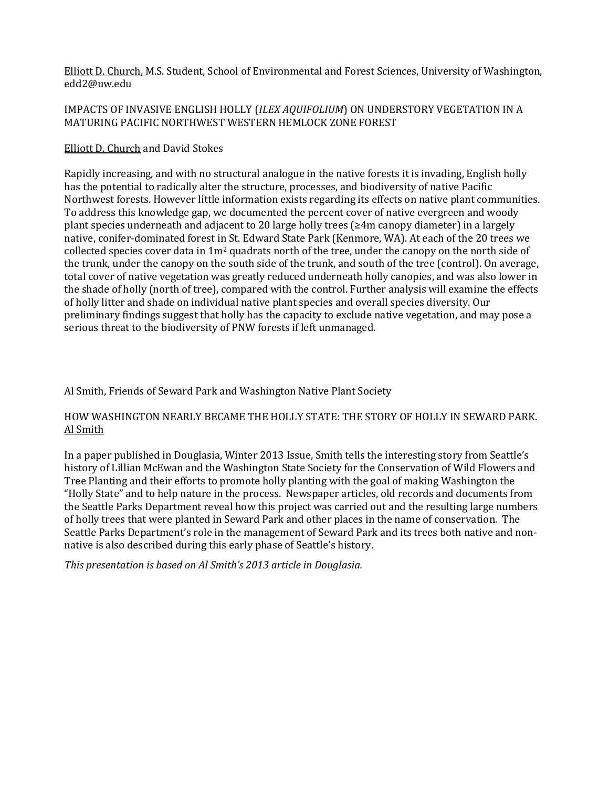Elliott D. Church, M.S. Student, School of Environmental and Forest Sciences, University of Washington, [edd2@uw.edu](mailto:edd2@uw.edu)

## IMPACTS OF INVASIVE ENGLISH HOLLY (*ILEX AQUIFOLIUM*) ON UNDERSTORY VEGETATION IN A MATURING PACIFIC NORTHWEST WESTERN HEMLOCK ZONE FOREST

### Elliott D. Church and David Stokes

Rapidly increasing, and with no structural analogue in the native forests it is invading, English holly has the potential to radically alter the structure, processes, and biodiversity of native Pacific Northwest forests. However little information exists regarding its effects on native plant communities. To address this knowledge gap, we documented the percent cover of native evergreen and woody plant species underneath and adjacent to 20 large holly trees (≥4m canopy diameter) in a largely native, conifer-dominated forest in St. Edward State Park (Kenmore, WA). At each of the 20 trees we collected species cover data in 1m2 quadrats north of the tree, under the canopy on the north side of the trunk, under the canopy on the south side of the trunk, and south of the tree (control). On average, total cover of native vegetation was greatly reduced underneath holly canopies, and was also lower in the shade of holly (north of tree), compared with the control. Further analysis will examine the effects of holly litter and shade on individual native plant species and overall species diversity. Our preliminary findings suggest that holly has the capacity to exclude native vegetation, and may pose a serious threat to the biodiversity of PNW forests if left unmanaged.

### Al Smith, Friends of Seward Park and Washington Native Plant Society

## HOW WASHINGTON NEARLY BECAME THE HOLLY STATE: THE STORY OF HOLLY IN SEWARD PARK. Al Smith

In a paper published in Douglasia, Winter 2013 Issue, Smith tells the interesting story from Seattle's history of Lillian McEwan and the Washington State Society for the Conservation of Wild Flowers and Tree Planting and their efforts to promote holly planting with the goal of making Washington the "Holly State" and to help nature in the process. Newspaper articles, old records and documents from the Seattle Parks Department reveal how this project was carried out and the resulting large numbers of holly trees that were planted in Seward Park and other places in the name of conservation. The Seattle Parks Department's role in the management of Seward Park and its trees both native and nonnative is also described during this early phase of Seattle's history.

*This presentation is based on Al Smith's 2013 article in Douglasia.*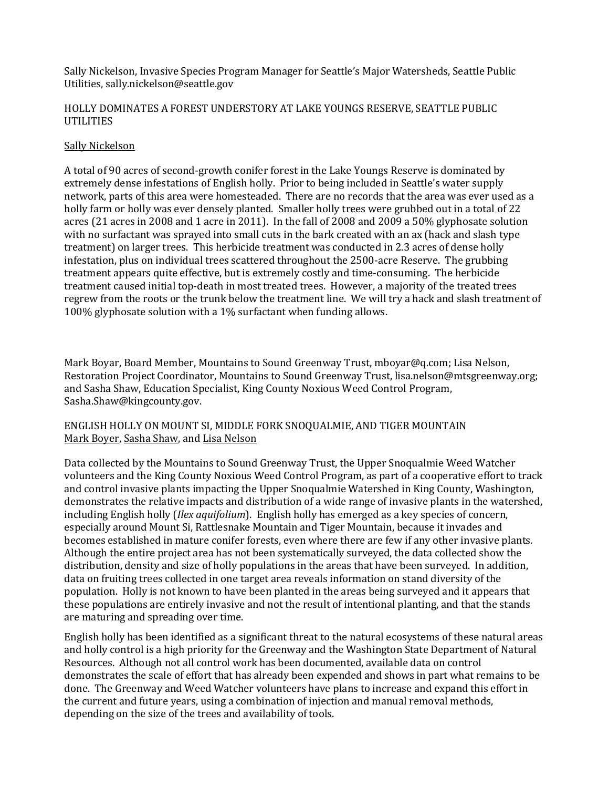Sally Nickelson, Invasive Species Program Manager for Seattle's Major Watersheds, Seattle Public Utilities[, sally.nickelson@seattle.gov](mailto:sally.nickelson@seattle.gov)

### HOLLY DOMINATES A FOREST UNDERSTORY AT LAKE YOUNGS RESERVE, SEATTLE PUBLIC UTILITIES

### Sally Nickelson

A total of 90 acres of second-growth conifer forest in the Lake Youngs Reserve is dominated by extremely dense infestations of English holly. Prior to being included in Seattle's water supply network, parts of this area were homesteaded. There are no records that the area was ever used as a holly farm or holly was ever densely planted. Smaller holly trees were grubbed out in a total of 22 acres (21 acres in 2008 and 1 acre in 2011). In the fall of 2008 and 2009 a 50% glyphosate solution with no surfactant was sprayed into small cuts in the bark created with an ax (hack and slash type treatment) on larger trees. This herbicide treatment was conducted in 2.3 acres of dense holly infestation, plus on individual trees scattered throughout the 2500-acre Reserve. The grubbing treatment appears quite effective, but is extremely costly and time-consuming. The herbicide treatment caused initial top-death in most treated trees. However, a majority of the treated trees regrew from the roots or the trunk below the treatment line. We will try a hack and slash treatment of 100% glyphosate solution with a 1% surfactant when funding allows.

Mark Boyar, Board Member, Mountains to Sound Greenway Trust[, mboyar@q.com;](mailto:mboyar@q.com) Lisa Nelson, Restoration Project Coordinator, Mountains to Sound Greenway Trust, lisa.nelson@mtsgreenway.org; and Sasha Shaw, Education Specialist, King County Noxious Weed Control Program, Sasha.Shaw@kingcounty.gov.

### ENGLISH HOLLY ON MOUNT SI, MIDDLE FORK SNOQUALMIE, AND TIGER MOUNTAIN Mark Boyer, Sasha Shaw, and Lisa Nelson

Data collected by the Mountains to Sound Greenway Trust, the Upper Snoqualmie Weed Watcher volunteers and the King County Noxious Weed Control Program, as part of a cooperative effort to track and control invasive plants impacting the Upper Snoqualmie Watershed in King County, Washington, demonstrates the relative impacts and distribution of a wide range of invasive plants in the watershed, including English holly (*Ilex aquifolium*). English holly has emerged as a key species of concern, especially around Mount Si, Rattlesnake Mountain and Tiger Mountain, because it invades and becomes established in mature conifer forests, even where there are few if any other invasive plants. Although the entire project area has not been systematically surveyed, the data collected show the distribution, density and size of holly populations in the areas that have been surveyed. In addition, data on fruiting trees collected in one target area reveals information on stand diversity of the population. Holly is not known to have been planted in the areas being surveyed and it appears that these populations are entirely invasive and not the result of intentional planting, and that the stands are maturing and spreading over time.

English holly has been identified as a significant threat to the natural ecosystems of these natural areas and holly control is a high priority for the Greenway and the Washington State Department of Natural Resources. Although not all control work has been documented, available data on control demonstrates the scale of effort that has already been expended and shows in part what remains to be done. The Greenway and Weed Watcher volunteers have plans to increase and expand this effort in the current and future years, using a combination of injection and manual removal methods, depending on the size of the trees and availability of tools.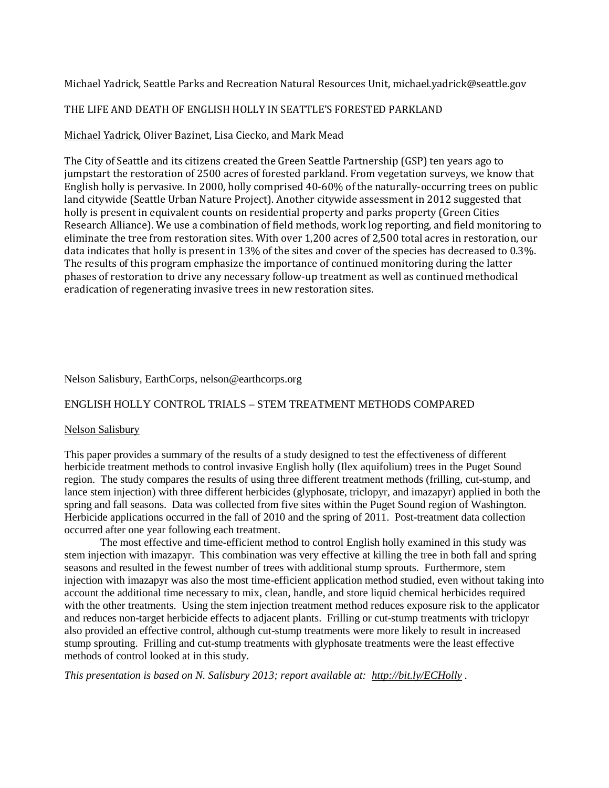Michael Yadrick, Seattle Parks and Recreation Natural Resources Unit, [michael.yadrick@seattle.gov](mailto:michael.yadrick@seattle.gov)

## THE LIFE AND DEATH OF ENGLISH HOLLY IN SEATTLE'S FORESTED PARKLAND

## Michael Yadrick, Oliver Bazinet, Lisa Ciecko, and Mark Mead

The City of Seattle and its citizens created the Green Seattle Partnership (GSP) ten years ago to jumpstart the restoration of 2500 acres of forested parkland. From vegetation surveys, we know that English holly is pervasive. In 2000, holly comprised 40-60% of the naturally-occurring trees on public land citywide (Seattle Urban Nature Project). Another citywide assessment in 2012 suggested that holly is present in equivalent counts on residential property and parks property (Green Cities Research Alliance). We use a combination of field methods, work log reporting, and field monitoring to eliminate the tree from restoration sites. With over 1,200 acres of 2,500 total acres in restoration, our data indicates that holly is present in 13% of the sites and cover of the species has decreased to 0.3%. The results of this program emphasize the importance of continued monitoring during the latter phases of restoration to drive any necessary follow-up treatment as well as continued methodical eradication of regenerating invasive trees in new restoration sites.

### Nelson Salisbury, EarthCorps, [nelson@earthcorps.org](https://ap01.alpine.washington.edu/alpine/alpine/2.0/mailto?to=nelson%40earthcorps%2Eorg&pop=view/0/INBOX/77145)

## ENGLISH HOLLY CONTROL TRIALS – STEM TREATMENT METHODS COMPARED

#### Nelson Salisbury

This paper provides a summary of the results of a study designed to test the effectiveness of different herbicide treatment methods to control invasive English holly (Ilex aquifolium) trees in the Puget Sound region. The study compares the results of using three different treatment methods (frilling, cut-stump, and lance stem injection) with three different herbicides (glyphosate, triclopyr, and imazapyr) applied in both the spring and fall seasons. Data was collected from five sites within the Puget Sound region of Washington. Herbicide applications occurred in the fall of 2010 and the spring of 2011. Post-treatment data collection occurred after one year following each treatment.

The most effective and time-efficient method to control English holly examined in this study was stem injection with imazapyr. This combination was very effective at killing the tree in both fall and spring seasons and resulted in the fewest number of trees with additional stump sprouts. Furthermore, stem injection with imazapyr was also the most time-efficient application method studied, even without taking into account the additional time necessary to mix, clean, handle, and store liquid chemical herbicides required with the other treatments. Using the stem injection treatment method reduces exposure risk to the applicator and reduces non-target herbicide effects to adjacent plants. Frilling or cut-stump treatments with triclopyr also provided an effective control, although cut-stump treatments were more likely to result in increased stump sprouting. Frilling and cut-stump treatments with glyphosate treatments were the least effective methods of control looked at in this study.

*This presentation is based on N. Salisbury 2013; report available at:<http://bit.ly/ECHolly> .*